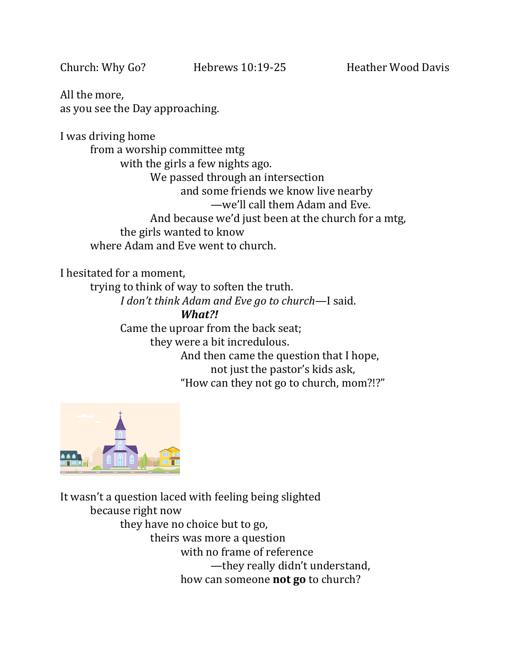All the more, as you see the Day approaching.

I was driving home from a worship committee mtg with the girls a few nights ago. We passed through an intersection and some friends we know live nearby —we'll call them Adam and Eve. And because we'd just been at the church for a mtg, the girls wanted to know where Adam and Eve went to church.

I hesitated for a moment,

trying to think of way to soften the truth.

*I don't think Adam and Eve go to church*—I said.

#### *What?!*

Came the uproar from the back seat; they were a bit incredulous. And then came the question that I hope, not just the pastor's kids ask, "How can they not go to church, mom?!?"



It wasn't a question laced with feeling being slighted because right now they have no choice but to go, theirs was more a question with no frame of reference —they really didn't understand, how can someone **not go** to church?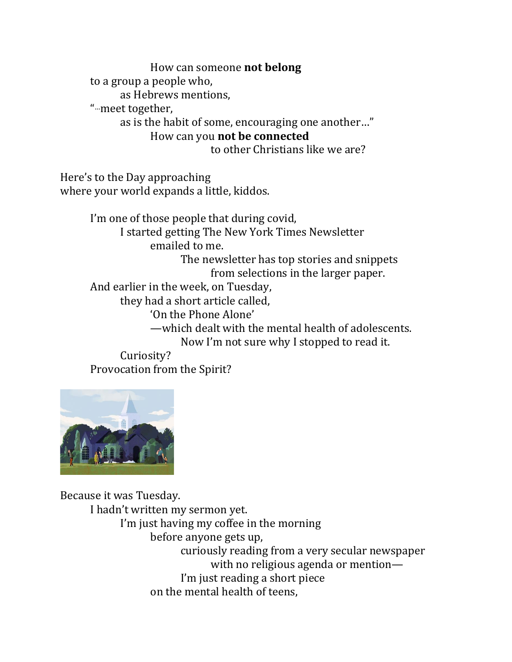How can someone **not belong** to a group a people who, as Hebrews mentions, " …meet together, as is the habit of some, encouraging one another…" How can you **not be connected**

to other Christians like we are?

Here's to the Day approaching where your world expands a little, kiddos.

> I'm one of those people that during covid, I started getting The New York Times Newsletter emailed to me. The newsletter has top stories and snippets from selections in the larger paper. And earlier in the week, on Tuesday, they had a short article called, 'On the Phone Alone' —which dealt with the mental health of adolescents. Now I'm not sure why I stopped to read it. Curiosity?

Provocation from the Spirit?



Because it was Tuesday.

I hadn't written my sermon yet. I'm just having my coffee in the morning before anyone gets up, curiously reading from a very secular newspaper with no religious agenda or mention— I'm just reading a short piece on the mental health of teens,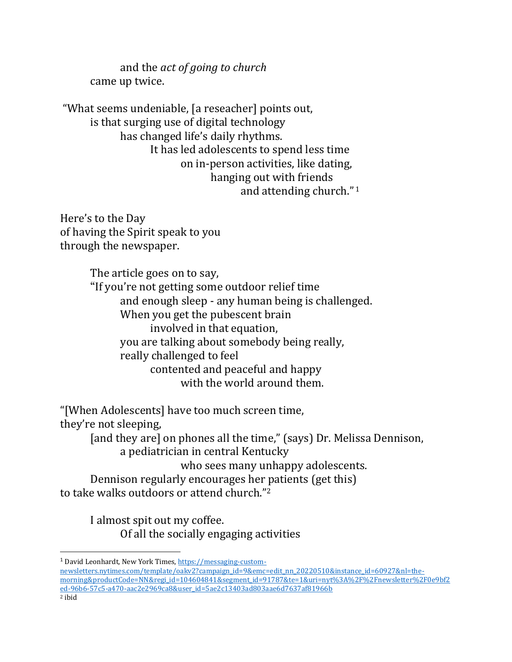and the *act of going to church* came up twice.

"What seems undeniable, [a reseacher] points out, is that surging use of digital technology has changed life's daily rhythms. It has led adolescents to spend less time on in-person activities, like dating, hanging out with friends and attending church." <sup>1</sup>

Here's to the Day of having the Spirit speak to you through the newspaper.

> The article goes on to say, "If you're not getting some outdoor relief time and enough sleep - any human being is challenged. When you get the pubescent brain involved in that equation, you are talking about somebody being really, really challenged to feel contented and peaceful and happy with the world around them.

"[When Adolescents] have too much screen time,

they're not sleeping,

[and they are] on phones all the time," (says) Dr. Melissa Dennison, a pediatrician in central Kentucky

who sees many unhappy adolescents.

Dennison regularly encourages her patients (get this) to take walks outdoors or attend church."<sup>2</sup>

> I almost spit out my coffee. Of all the socially engaging activities

[newsletters.nytimes.com/template/oakv2?campaign\\_id=9&emc=edit\\_nn\\_20220510&instance\\_id=60927&nl=the](https://messaging-custom-newsletters.nytimes.com/template/oakv2?campaign_id=9&emc=edit_nn_20220510&instance_id=60927&nl=the-morning&productCode=NN®i_id=104604841&segment_id=91787&te=1&uri=nyt%3A%2F%2Fnewsletter%2F0e9bf2ed-96b6-57c5-a470-aac2e2969ca8&user_id=5ae2c13403ad803aae6d7637af81966b)[morning&productCode=NN&regi\\_id=104604841&segment\\_id=91787&te=1&uri=nyt%3A%2F%2Fnewsletter%2F0e9bf2](https://messaging-custom-newsletters.nytimes.com/template/oakv2?campaign_id=9&emc=edit_nn_20220510&instance_id=60927&nl=the-morning&productCode=NN®i_id=104604841&segment_id=91787&te=1&uri=nyt%3A%2F%2Fnewsletter%2F0e9bf2ed-96b6-57c5-a470-aac2e2969ca8&user_id=5ae2c13403ad803aae6d7637af81966b) [ed-96b6-57c5-a470-aac2e2969ca8&user\\_id=5ae2c13403ad803aae6d7637af81966b](https://messaging-custom-newsletters.nytimes.com/template/oakv2?campaign_id=9&emc=edit_nn_20220510&instance_id=60927&nl=the-morning&productCode=NN®i_id=104604841&segment_id=91787&te=1&uri=nyt%3A%2F%2Fnewsletter%2F0e9bf2ed-96b6-57c5-a470-aac2e2969ca8&user_id=5ae2c13403ad803aae6d7637af81966b) <sup>2</sup> ibid

<sup>&</sup>lt;sup>1</sup> David Leonhardt, New York Times, [https://messaging-custom-](https://messaging-custom-newsletters.nytimes.com/template/oakv2?campaign_id=9&emc=edit_nn_20220510&instance_id=60927&nl=the-morning&productCode=NN®i_id=104604841&segment_id=91787&te=1&uri=nyt%3A%2F%2Fnewsletter%2F0e9bf2ed-96b6-57c5-a470-aac2e2969ca8&user_id=5ae2c13403ad803aae6d7637af81966b)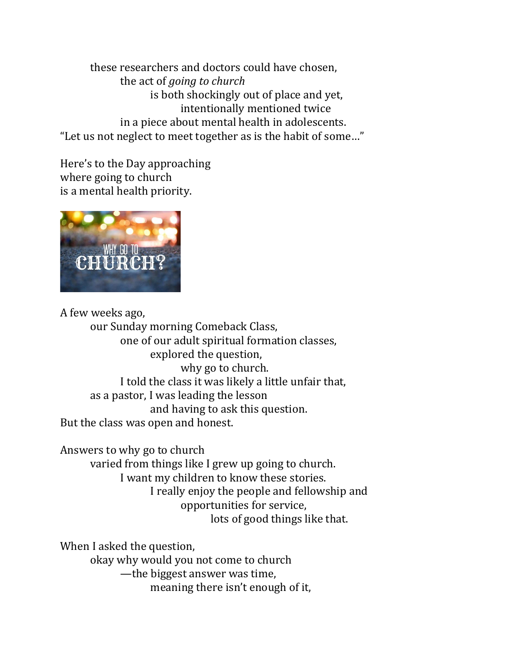these researchers and doctors could have chosen, the act of *going to church* is both shockingly out of place and yet, intentionally mentioned twice in a piece about mental health in adolescents. "Let us not neglect to meet together as is the habit of some…"

Here's to the Day approaching where going to church is a mental health priority.



A few weeks ago,

our Sunday morning Comeback Class, one of our adult spiritual formation classes, explored the question, why go to church. I told the class it was likely a little unfair that, as a pastor, I was leading the lesson and having to ask this question. But the class was open and honest.

Answers to why go to church

varied from things like I grew up going to church. I want my children to know these stories. I really enjoy the people and fellowship and opportunities for service, lots of good things like that.

When I asked the question, okay why would you not come to church —the biggest answer was time, meaning there isn't enough of it,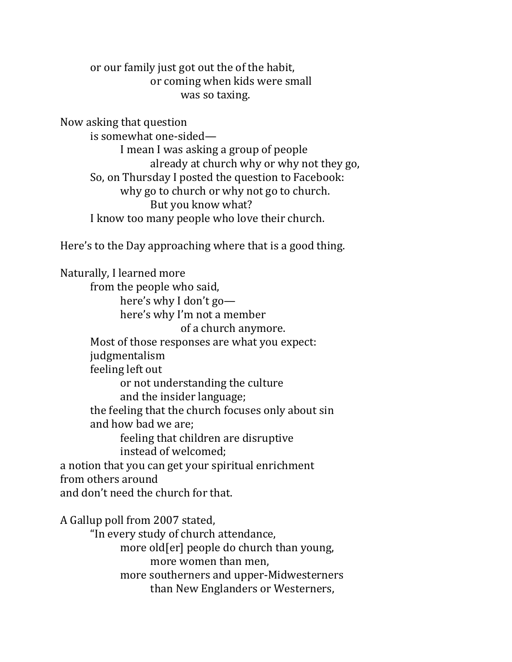or our family just got out the of the habit, or coming when kids were small was so taxing.

Now asking that question

is somewhat one-sided— I mean I was asking a group of people already at church why or why not they go, So, on Thursday I posted the question to Facebook: why go to church or why not go to church. But you know what? I know too many people who love their church.

Here's to the Day approaching where that is a good thing.

Naturally, I learned more from the people who said, here's why I don't go here's why I'm not a member of a church anymore. Most of those responses are what you expect: judgmentalism feeling left out or not understanding the culture and the insider language; the feeling that the church focuses only about sin and how bad we are; feeling that children are disruptive instead of welcomed; a notion that you can get your spiritual enrichment from others around and don't need the church for that. A Gallup poll from 2007 stated,

"In every study of church attendance, more old[er] people do church than young, more women than men, more southerners and upper-Midwesterners than New Englanders or Westerners,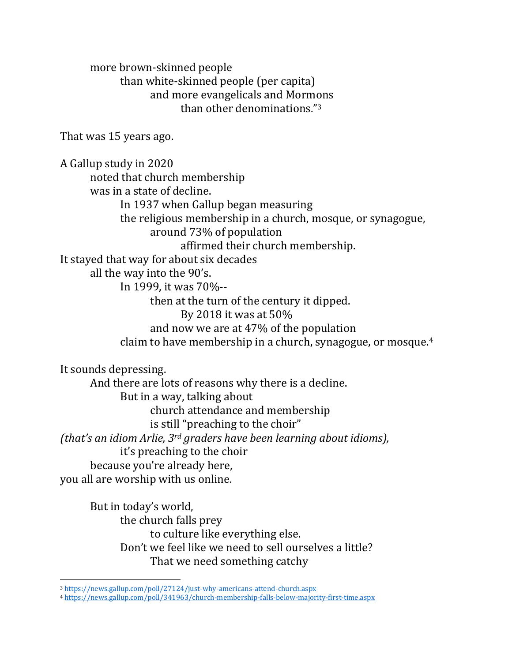more brown-skinned people than white-skinned people (per capita) and more evangelicals and Mormons than other denominations."<sup>3</sup>

That was 15 years ago.

A Gallup study in 2020 noted that church membership was in a state of decline. In 1937 when Gallup began measuring the religious membership in a church, mosque, or synagogue, around 73% of population affirmed their church membership. It stayed that way for about six decades all the way into the 90's. In 1999, it was 70%- then at the turn of the century it dipped. By 2018 it was at 50% and now we are at 47% of the population claim to have membership in a church, synagogue, or mosque.<sup>4</sup> It sounds depressing. And there are lots of reasons why there is a decline. But in a way, talking about church attendance and membership

is still "preaching to the choir"

*(that's an idiom Arlie, 3rd graders have been learning about idioms),*  it's preaching to the choir

because you're already here,

you all are worship with us online.

But in today's world, the church falls prey to culture like everything else. Don't we feel like we need to sell ourselves a little? That we need something catchy

<sup>3</sup> <https://news.gallup.com/poll/27124/just-why-americans-attend-church.aspx>

<sup>4</sup> <https://news.gallup.com/poll/341963/church-membership-falls-below-majority-first-time.aspx>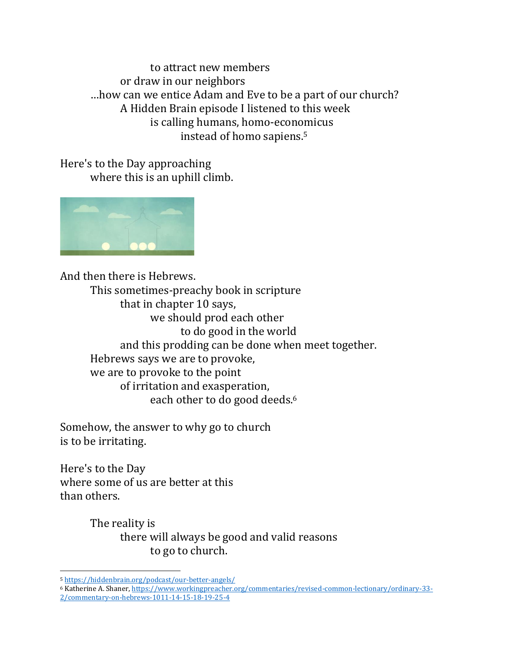to attract new members or draw in our neighbors …how can we entice Adam and Eve to be a part of our church? A Hidden Brain episode I listened to this week is calling humans, homo-economicus instead of homo sapiens.<sup>5</sup>

Here's to the Day approaching where this is an uphill climb.



And then there is Hebrews. This sometimes-preachy book in scripture that in chapter 10 says, we should prod each other to do good in the world and this prodding can be done when meet together. Hebrews says we are to provoke, we are to provoke to the point of irritation and exasperation, each other to do good deeds. 6

Somehow, the answer to why go to church is to be irritating.

Here's to the Day where some of us are better at this than others.

> The reality is there will always be good and valid reasons to go to church.

<sup>5</sup> <https://hiddenbrain.org/podcast/our-better-angels/>

<sup>6</sup> Katherine A. Shaner[, https://www.workingpreacher.org/commentaries/revised-common-lectionary/ordinary-33-](https://www.workingpreacher.org/commentaries/revised-common-lectionary/ordinary-33-2/commentary-on-hebrews-1011-14-15-18-19-25-4) [2/commentary-on-hebrews-1011-14-15-18-19-25-4](https://www.workingpreacher.org/commentaries/revised-common-lectionary/ordinary-33-2/commentary-on-hebrews-1011-14-15-18-19-25-4)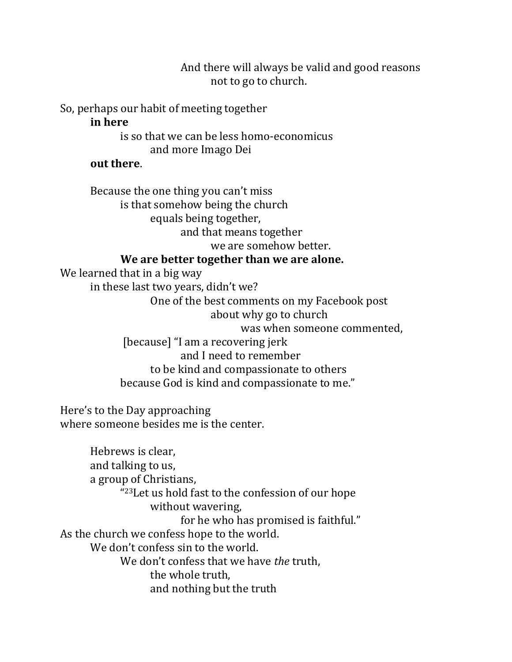And there will always be valid and good reasons not to go to church.

So, perhaps our habit of meeting together

### **in here**

is so that we can be less homo-economicus and more Imago Dei

### **out there**.

Because the one thing you can't miss is that somehow being the church equals being together, and that means together we are somehow better.

## **We are better together than we are alone.**

We learned that in a big way in these last two years, didn't we? One of the best comments on my Facebook post about why go to church was when someone commented, [because] "I am a recovering jerk and I need to remember to be kind and compassionate to others because God is kind and compassionate to me."

Here's to the Day approaching where someone besides me is the center.

Hebrews is clear, and talking to us, a group of Christians, " <sup>23</sup>Let us hold fast to the confession of our hope without wavering, for he who has promised is faithful." As the church we confess hope to the world. We don't confess sin to the world. We don't confess that we have *the* truth, the whole truth, and nothing but the truth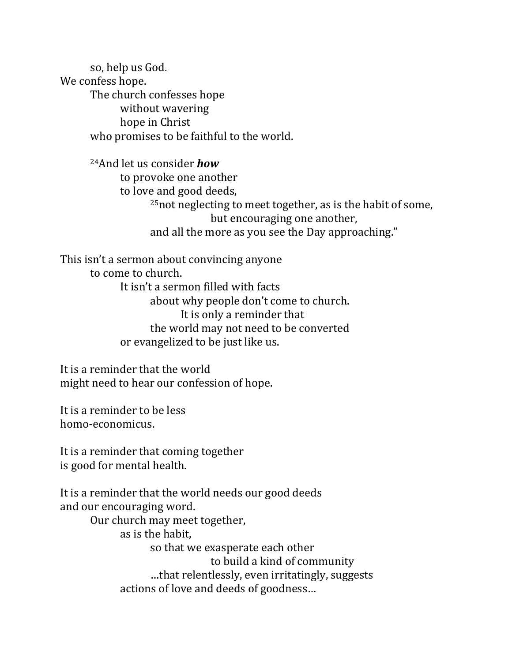so, help us God. We confess hope. The church confesses hope without wavering hope in Christ who promises to be faithful to the world.

> <sup>24</sup>And let us consider *how* to provoke one another to love and good deeds, <sup>25</sup>not neglecting to meet together, as is the habit of some, but encouraging one another, and all the more as you see the Day approaching."

This isn't a sermon about convincing anyone to come to church. It isn't a sermon filled with facts about why people don't come to church. It is only a reminder that the world may not need to be converted or evangelized to be just like us.

It is a reminder that the world might need to hear our confession of hope.

It is a reminder to be less homo-economicus.

It is a reminder that coming together is good for mental health.

It is a reminder that the world needs our good deeds and our encouraging word.

> Our church may meet together, as is the habit, so that we exasperate each other to build a kind of community …that relentlessly, even irritatingly, suggests actions of love and deeds of goodness…